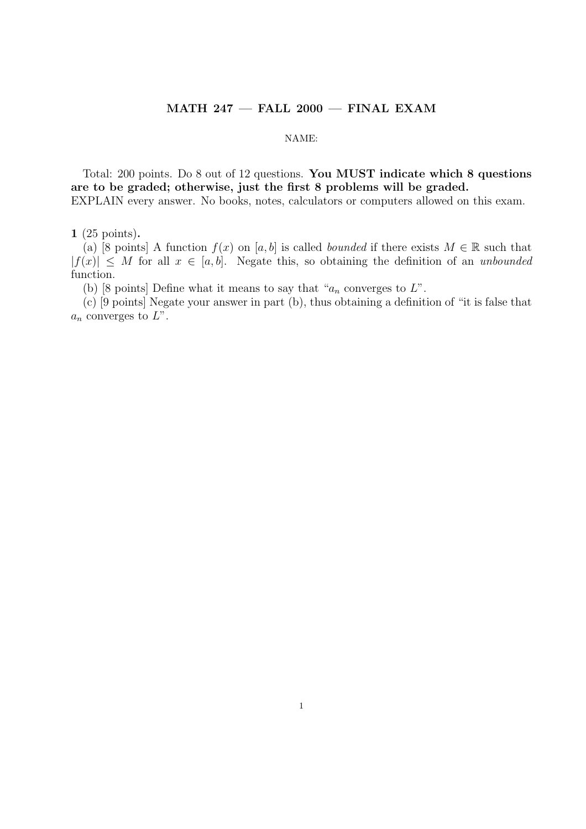## $MATH$  247  $-$  FALL 2000  $-$  FINAL EXAM

#### NAME:

Total: 200 points. Do 8 out of 12 questions. You MUST indicate which 8 questions are to be graded; otherwise, just the first 8 problems will be graded. EXPLAIN every answer. No books, notes, calculators or computers allowed on this exam.

1 (25 points).

(a) [8 points] A function  $f(x)$  on [a, b] is called bounded if there exists  $M \in \mathbb{R}$  such that  $|f(x)| \leq M$  for all  $x \in [a, b]$ . Negate this, so obtaining the definition of an unbounded function.

(b) [8 points] Define what it means to say that " $a_n$  converges to  $L$ ".

(c) [9 points] Negate your answer in part (b), thus obtaining a definition of "it is false that  $a_n$  converges to  $L$ ".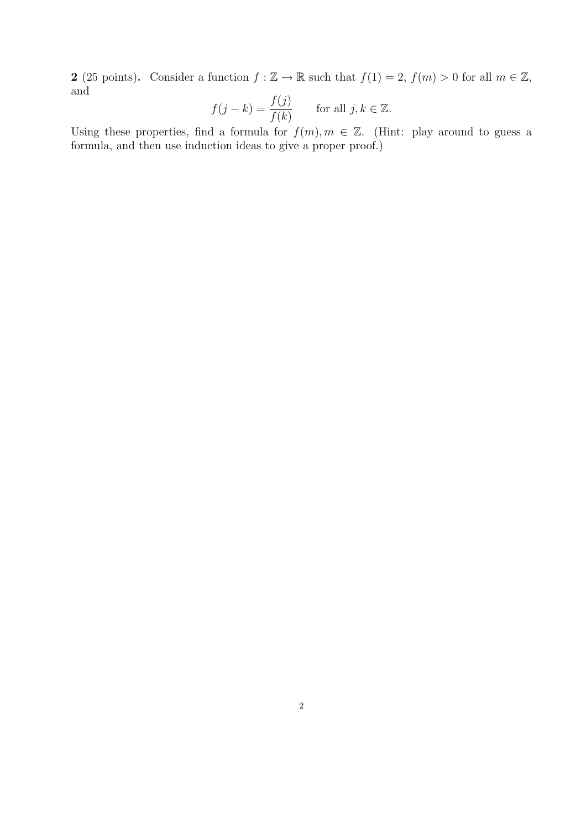2 (25 points). Consider a function  $f : \mathbb{Z} \to \mathbb{R}$  such that  $f(1) = 2$ ,  $f(m) > 0$  for all  $m \in \mathbb{Z}$ , and

$$
f(j-k) = \frac{f(j)}{f(k)} \quad \text{for all } j, k \in \mathbb{Z}.
$$

Using these properties, find a formula for  $f(m), m \in \mathbb{Z}$ . (Hint: play around to guess a formula, and then use induction ideas to give a proper proof.)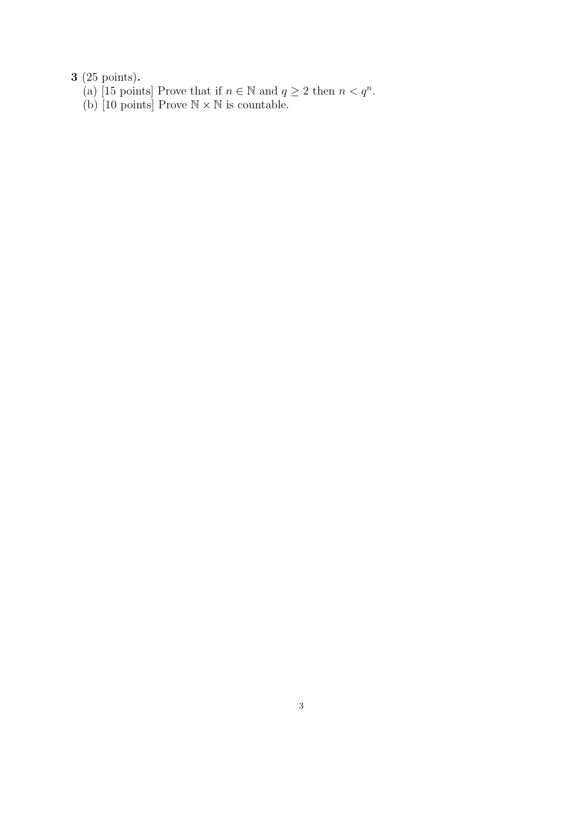- (a) [15 points] Prove that if  $n \in \mathbb{N}$  and  $q \ge 2$  then  $n < q^n$ .
- (b) [10 points] Prove  $\mathbb{N} \times \mathbb{N}$  is countable.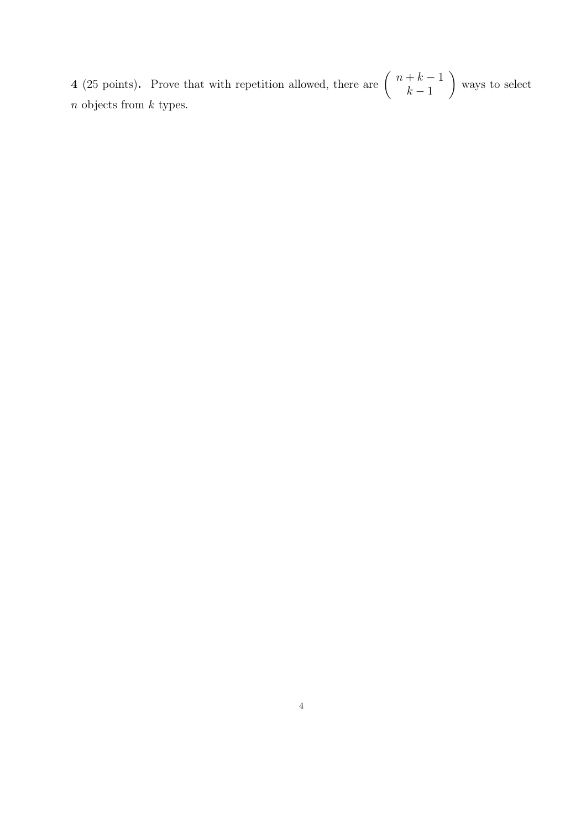4 (25 points). Prove that with repetition allowed, there are  $\begin{pmatrix} n+k-1 \\ k-1 \end{pmatrix}$  $k-1$  $\mathbf{r}$ ways to select  $\boldsymbol{n}$  objects from  $\boldsymbol{k}$  types.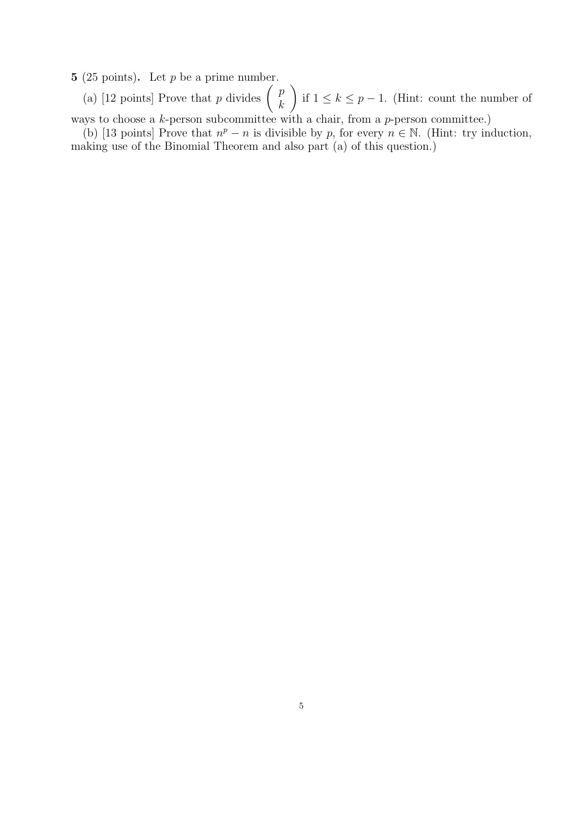5 (25 points). Let  $p$  be a prime number.

(25 points). Let p be a prime number.<br>
(a) [12 points] Prove that p divides  $\begin{pmatrix} p \\ h \end{pmatrix}$ k if  $1 \leq k \leq p-1$ . (Hint: count the number of ways to choose a  $k$ -person subcommittee with a chair, from a  $p$ -person committee.)

 $\mathbf{r}$ 

(b) [13 points] Prove that  $n^p - n$  is divisible by p, for every  $n \in \mathbb{N}$ . (Hint: try induction, making use of the Binomial Theorem and also part (a) of this question.)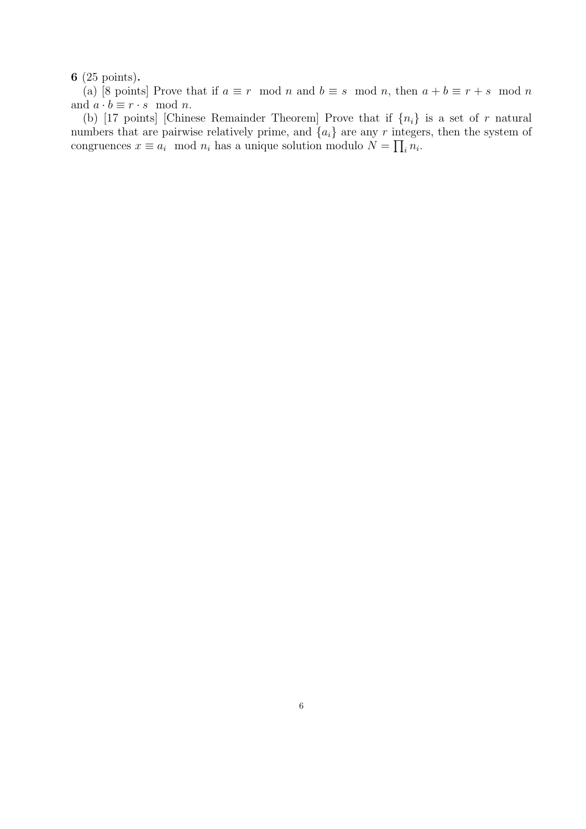(a) [8 points] Prove that if  $a \equiv r \mod n$  and  $b \equiv s \mod n$ , then  $a + b \equiv r + s \mod n$ and  $a \cdot b \equiv r \cdot s \mod n$ .

(b) [17 points] [Chinese Remainder Theorem] Prove that if  $\{n_i\}$  is a set of r natural numbers that are pairwise relatively prime, and  $\{a_i\}$  are any r integers, then the system of congruences  $x \equiv a_i \mod n_i$  has a unique solution modulo  $N = \prod_i n_i$ .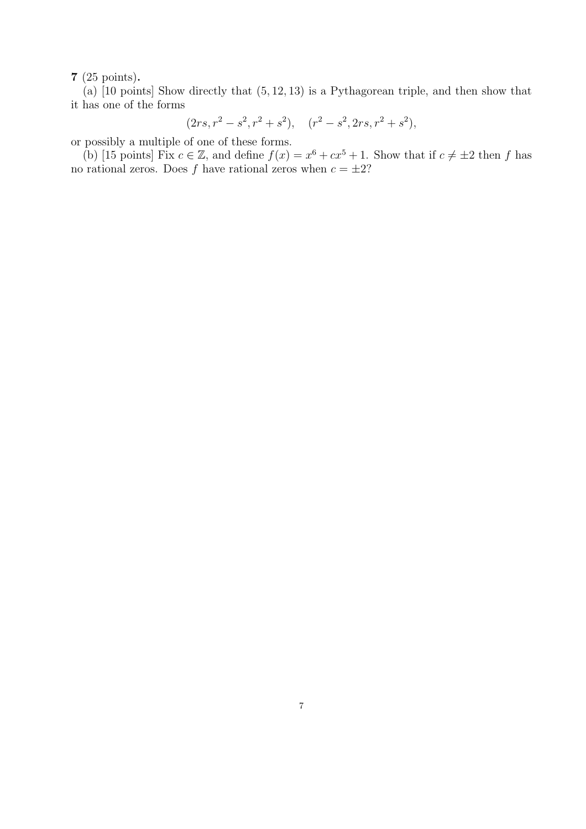(a)  $\boxed{10 \text{ points}}$  Show directly that  $(5, 12, 13)$  is a Pythagorean triple, and then show that it has one of the forms

$$
(2rs, r^2 - s^2, r^2 + s^2), (r^2 - s^2, 2rs, r^2 + s^2),
$$

or possibly a multiple of one of these forms.

(b) [15 points] Fix  $c \in \mathbb{Z}$ , and define  $f(x) = x^6 + cx^5 + 1$ . Show that if  $c \neq \pm 2$  then f has no rational zeros. Does f have rational zeros when  $c = \pm 2$ ?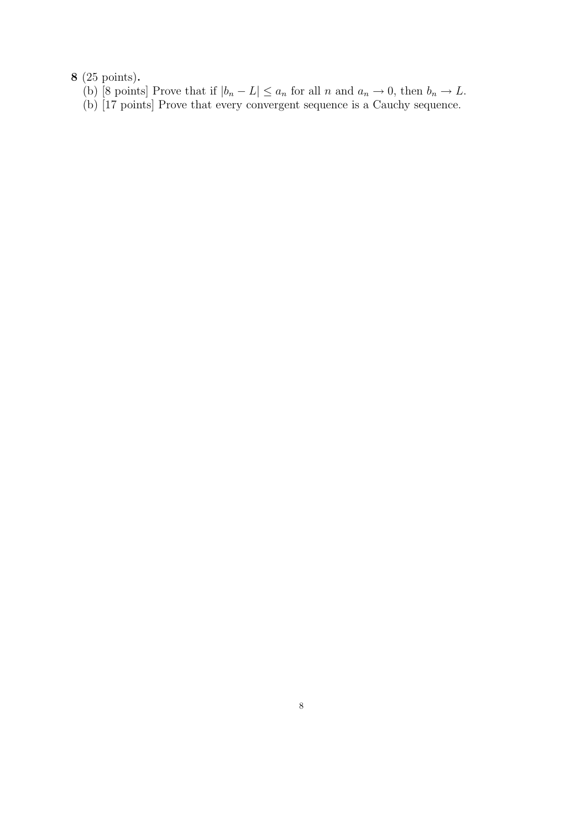- (b) [8 points] Prove that if  $|b_n L| \le a_n$  for all n and  $a_n \to 0$ , then  $b_n \to L$ .
- (b) [17 points] Prove that every convergent sequence is a Cauchy sequence.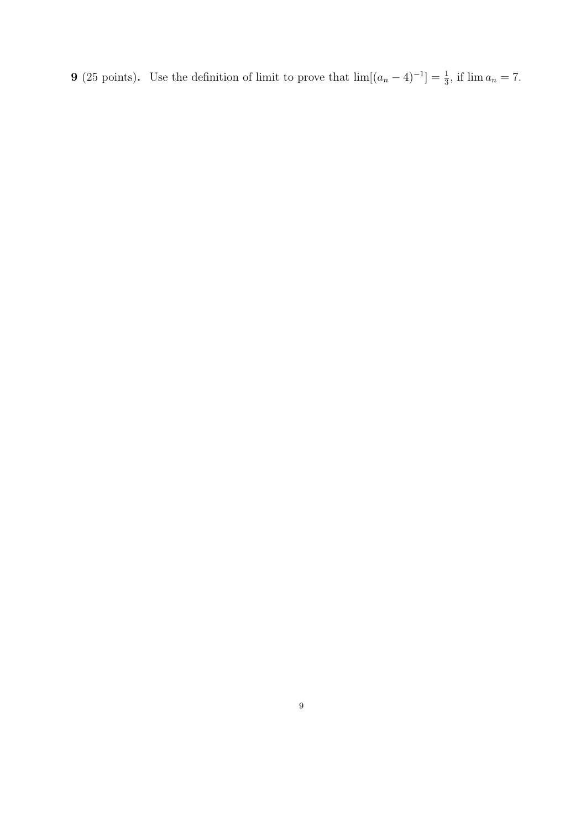**9** (25 points). Use the definition of limit to prove that  $\lim[(a_n - 4)^{-1}] = \frac{1}{3}$ , if  $\lim a_n = 7$ .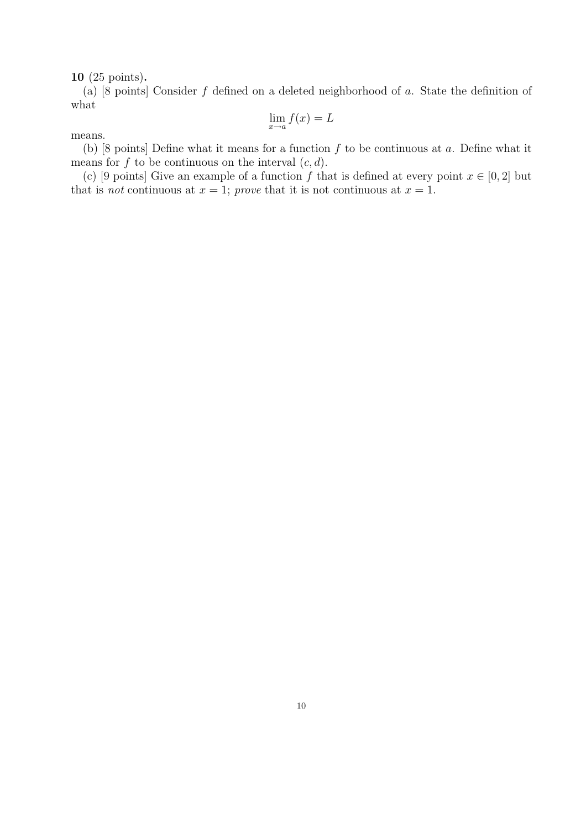(a)  $[8 \text{ points}]$  Consider f defined on a deleted neighborhood of a. State the definition of what

$$
\lim_{x \to a} f(x) = L
$$

means.

(b) [8 points] Define what it means for a function  $f$  to be continuous at  $a$ . Define what it means for f to be continuous on the interval  $(c, d)$ .

(c) [9 points] Give an example of a function f that is defined at every point  $x \in [0,2]$  but that is *not* continuous at  $x = 1$ ; prove that it is not continuous at  $x = 1$ .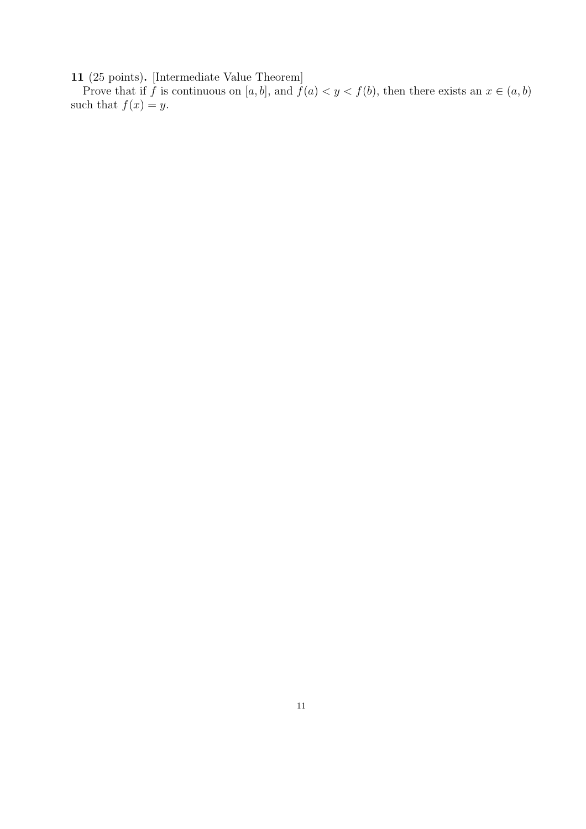11 (25 points). [Intermediate Value Theorem]

Prove that if f is continuous on [a, b], and  $f(a) < y < f(b)$ , then there exists an  $x \in (a, b)$ such that  $f(x) = y$ .